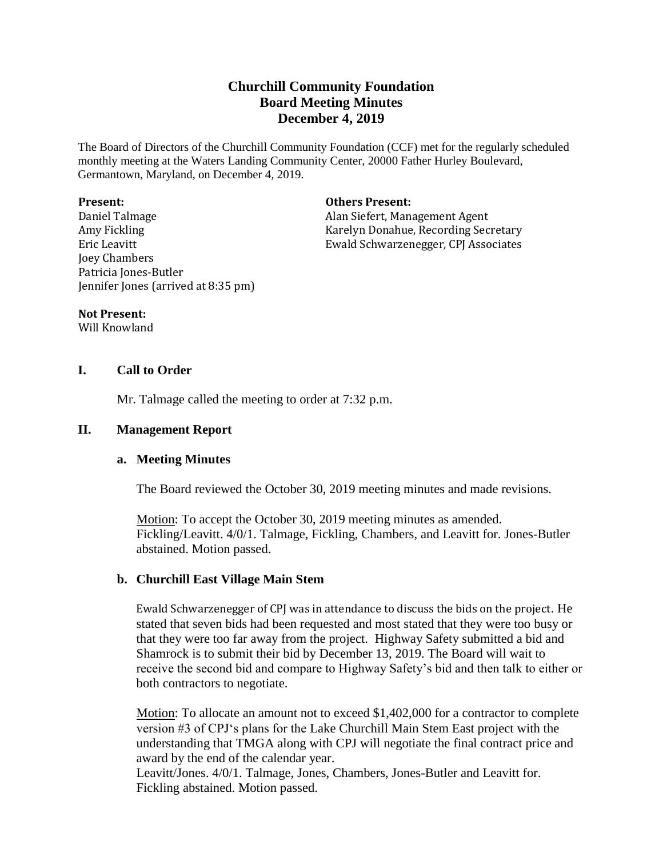# **Churchill Community Foundation Board Meeting Minutes December 4, 2019**

The Board of Directors of the Churchill Community Foundation (CCF) met for the regularly scheduled monthly meeting at the Waters Landing Community Center, 20000 Father Hurley Boulevard, Germantown, Maryland, on December 4, 2019.

#### **Present:**

Daniel Talmage Amy Fickling Eric Leavitt Joey Chambers Patricia Jones-Butler Jennifer Jones (arrived at 8:35 pm)

#### **Others Present:**

Alan Siefert, Management Agent Karelyn Donahue, Recording Secretary Ewald Schwarzenegger, CPJ Associates

#### **Not Present:**

Will Knowland

# **I. Call to Order**

Mr. Talmage called the meeting to order at 7:32 p.m.

### **II. Management Report**

#### **a. Meeting Minutes**

The Board reviewed the October 30, 2019 meeting minutes and made revisions.

Motion: To accept the October 30, 2019 meeting minutes as amended. Fickling/Leavitt. 4/0/1. Talmage, Fickling, Chambers, and Leavitt for. Jones-Butler abstained. Motion passed.

# **b. Churchill East Village Main Stem**

Ewald Schwarzenegger of CPJ was in attendance to discuss the bids on the project. He stated that seven bids had been requested and most stated that they were too busy or that they were too far away from the project. Highway Safety submitted a bid and Shamrock is to submit their bid by December 13, 2019. The Board will wait to receive the second bid and compare to Highway Safety's bid and then talk to either or both contractors to negotiate.

Motion: To allocate an amount not to exceed \$1,402,000 for a contractor to complete version #3 of CPJ's plans for the Lake Churchill Main Stem East project with the understanding that TMGA along with CPJ will negotiate the final contract price and award by the end of the calendar year.

Leavitt/Jones. 4/0/1. Talmage, Jones, Chambers, Jones-Butler and Leavitt for. Fickling abstained. Motion passed.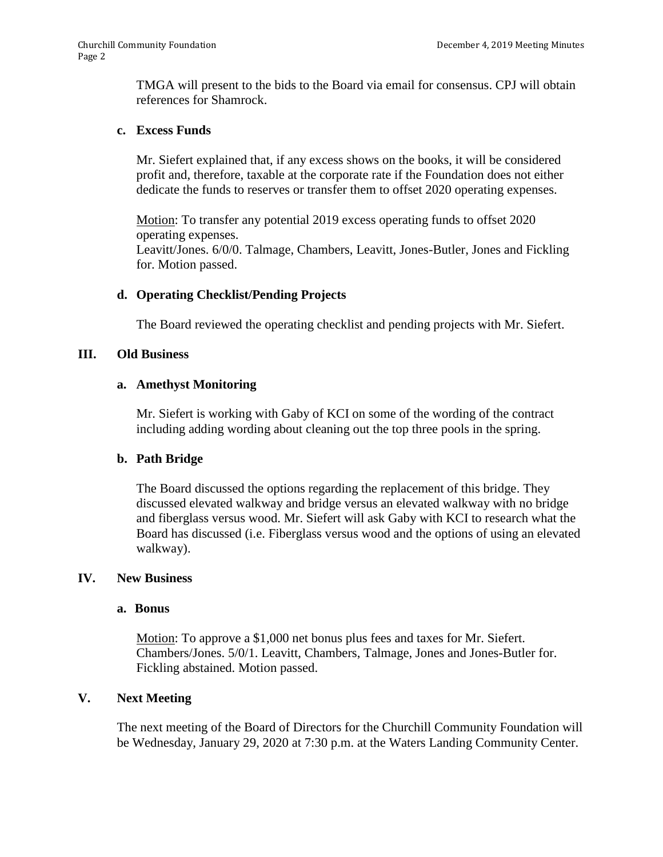TMGA will present to the bids to the Board via email for consensus. CPJ will obtain references for Shamrock.

# **c. Excess Funds**

Mr. Siefert explained that, if any excess shows on the books, it will be considered profit and, therefore, taxable at the corporate rate if the Foundation does not either dedicate the funds to reserves or transfer them to offset 2020 operating expenses.

Motion: To transfer any potential 2019 excess operating funds to offset 2020 operating expenses. Leavitt/Jones. 6/0/0. Talmage, Chambers, Leavitt, Jones-Butler, Jones and Fickling for. Motion passed.

# **d. Operating Checklist/Pending Projects**

The Board reviewed the operating checklist and pending projects with Mr. Siefert.

# **III. Old Business**

# **a. Amethyst Monitoring**

Mr. Siefert is working with Gaby of KCI on some of the wording of the contract including adding wording about cleaning out the top three pools in the spring.

# **b. Path Bridge**

The Board discussed the options regarding the replacement of this bridge. They discussed elevated walkway and bridge versus an elevated walkway with no bridge and fiberglass versus wood. Mr. Siefert will ask Gaby with KCI to research what the Board has discussed (i.e. Fiberglass versus wood and the options of using an elevated walkway).

# **IV. New Business**

# **a. Bonus**

Motion: To approve a \$1,000 net bonus plus fees and taxes for Mr. Siefert. Chambers/Jones. 5/0/1. Leavitt, Chambers, Talmage, Jones and Jones-Butler for. Fickling abstained. Motion passed.

# **V. Next Meeting**

The next meeting of the Board of Directors for the Churchill Community Foundation will be Wednesday, January 29, 2020 at 7:30 p.m. at the Waters Landing Community Center.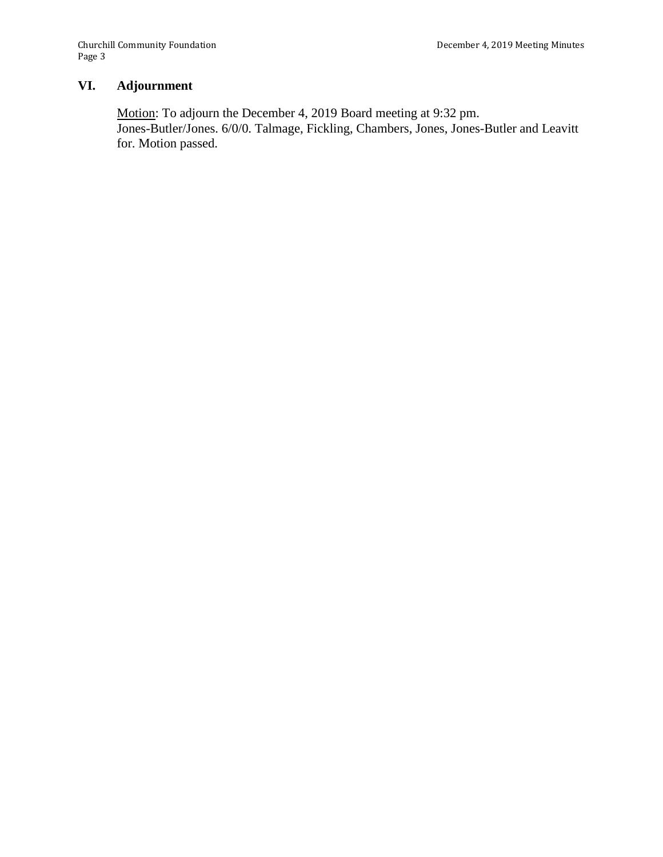# **VI. Adjournment**

Motion: To adjourn the December 4, 2019 Board meeting at 9:32 pm. Jones-Butler/Jones. 6/0/0. Talmage, Fickling, Chambers, Jones, Jones-Butler and Leavitt for. Motion passed.